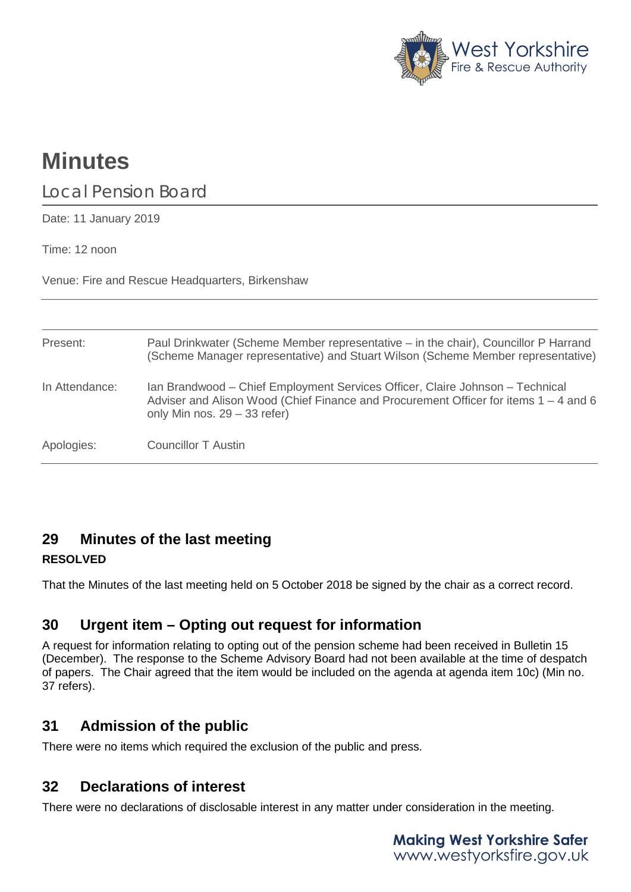

# **Minutes**

Local Pension Board

Date: 11 January 2019

Time: 12 noon

Venue: Fire and Rescue Headquarters, Birkenshaw

| Present:       | Paul Drinkwater (Scheme Member representative – in the chair), Councillor P Harrand<br>(Scheme Manager representative) and Stuart Wilson (Scheme Member representative)                                   |
|----------------|-----------------------------------------------------------------------------------------------------------------------------------------------------------------------------------------------------------|
| In Attendance: | Ian Brandwood – Chief Employment Services Officer, Claire Johnson – Technical<br>Adviser and Alison Wood (Chief Finance and Procurement Officer for items $1 - 4$ and 6<br>only Min nos. $29 - 33$ refer) |
| Apologies:     | Councillor T Austin                                                                                                                                                                                       |

## **29 Minutes of the last meeting**

### **RESOLVED**

That the Minutes of the last meeting held on 5 October 2018 be signed by the chair as a correct record.

## **30 Urgent item – Opting out request for information**

A request for information relating to opting out of the pension scheme had been received in Bulletin 15 (December). The response to the Scheme Advisory Board had not been available at the time of despatch of papers. The Chair agreed that the item would be included on the agenda at agenda item 10c) (Min no. 37 refers).

# **31 Admission of the public**

There were no items which required the exclusion of the public and press.

# **32 Declarations of interest**

There were no declarations of disclosable interest in any matter under consideration in the meeting.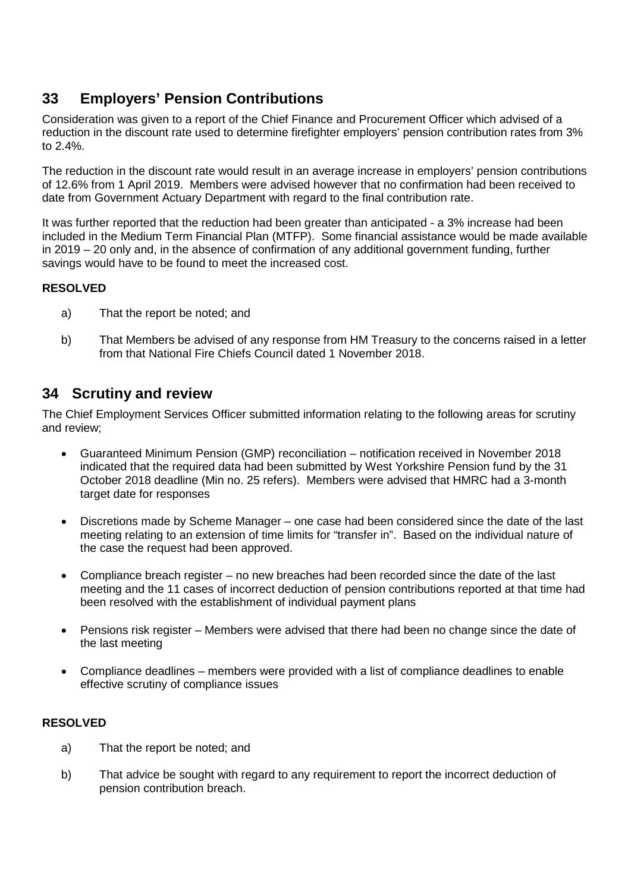# **33 Employers' Pension Contributions**

Consideration was given to a report of the Chief Finance and Procurement Officer which advised of a reduction in the discount rate used to determine firefighter employers' pension contribution rates from 3% to 2.4%.

The reduction in the discount rate would result in an average increase in employers' pension contributions of 12.6% from 1 April 2019. Members were advised however that no confirmation had been received to date from Government Actuary Department with regard to the final contribution rate.

It was further reported that the reduction had been greater than anticipated - a 3% increase had been included in the Medium Term Financial Plan (MTFP). Some financial assistance would be made available in 2019 – 20 only and, in the absence of confirmation of any additional government funding, further savings would have to be found to meet the increased cost.

#### **RESOLVED**

- a) That the report be noted; and
- b) That Members be advised of any response from HM Treasury to the concerns raised in a letter from that National Fire Chiefs Council dated 1 November 2018.

## **34 Scrutiny and review**

The Chief Employment Services Officer submitted information relating to the following areas for scrutiny and review;

- Guaranteed Minimum Pension (GMP) reconciliation notification received in November 2018 indicated that the required data had been submitted by West Yorkshire Pension fund by the 31 October 2018 deadline (Min no. 25 refers). Members were advised that HMRC had a 3-month target date for responses
- Discretions made by Scheme Manager one case had been considered since the date of the last meeting relating to an extension of time limits for "transfer in". Based on the individual nature of the case the request had been approved.
- Compliance breach register no new breaches had been recorded since the date of the last meeting and the 11 cases of incorrect deduction of pension contributions reported at that time had been resolved with the establishment of individual payment plans
- Pensions risk register Members were advised that there had been no change since the date of the last meeting
- Compliance deadlines members were provided with a list of compliance deadlines to enable effective scrutiny of compliance issues

#### **RESOLVED**

- a) That the report be noted; and
- b) That advice be sought with regard to any requirement to report the incorrect deduction of pension contribution breach.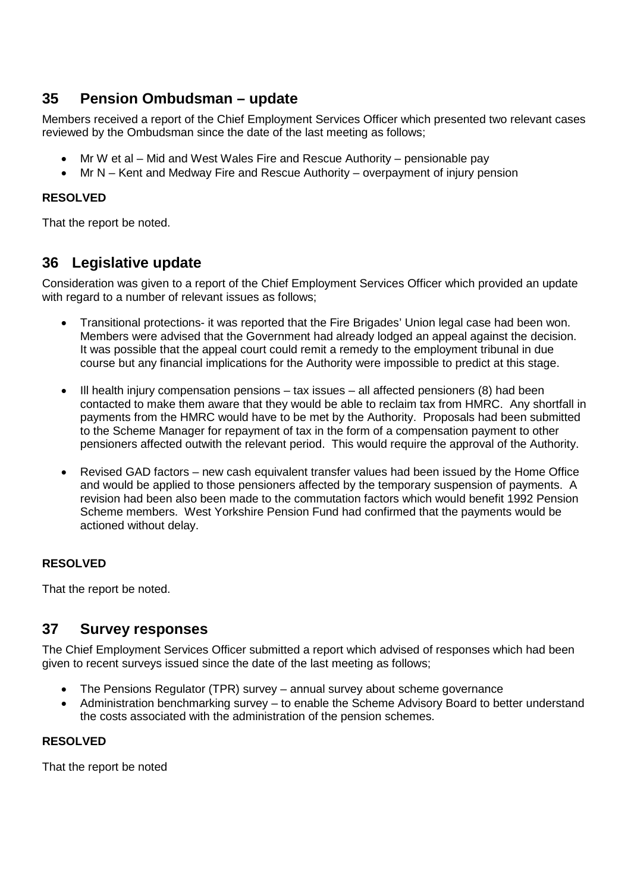## **35 Pension Ombudsman – update**

Members received a report of the Chief Employment Services Officer which presented two relevant cases reviewed by the Ombudsman since the date of the last meeting as follows;

- Mr W et al Mid and West Wales Fire and Rescue Authority pensionable pay
- Mr N Kent and Medway Fire and Rescue Authority overpayment of injury pension

#### **RESOLVED**

That the report be noted.

## **36 Legislative update**

Consideration was given to a report of the Chief Employment Services Officer which provided an update with regard to a number of relevant issues as follows:

- Transitional protections- it was reported that the Fire Brigades' Union legal case had been won. Members were advised that the Government had already lodged an appeal against the decision. It was possible that the appeal court could remit a remedy to the employment tribunal in due course but any financial implications for the Authority were impossible to predict at this stage.
- $\bullet$  III health injury compensation pensions tax issues all affected pensioners (8) had been contacted to make them aware that they would be able to reclaim tax from HMRC. Any shortfall in payments from the HMRC would have to be met by the Authority. Proposals had been submitted to the Scheme Manager for repayment of tax in the form of a compensation payment to other pensioners affected outwith the relevant period. This would require the approval of the Authority.
- Revised GAD factors new cash equivalent transfer values had been issued by the Home Office and would be applied to those pensioners affected by the temporary suspension of payments. A revision had been also been made to the commutation factors which would benefit 1992 Pension Scheme members. West Yorkshire Pension Fund had confirmed that the payments would be actioned without delay.

#### **RESOLVED**

That the report be noted.

## **37 Survey responses**

The Chief Employment Services Officer submitted a report which advised of responses which had been given to recent surveys issued since the date of the last meeting as follows;

- The Pensions Regulator (TPR) survey annual survey about scheme governance
- Administration benchmarking survey to enable the Scheme Advisory Board to better understand the costs associated with the administration of the pension schemes.

#### **RESOLVED**

That the report be noted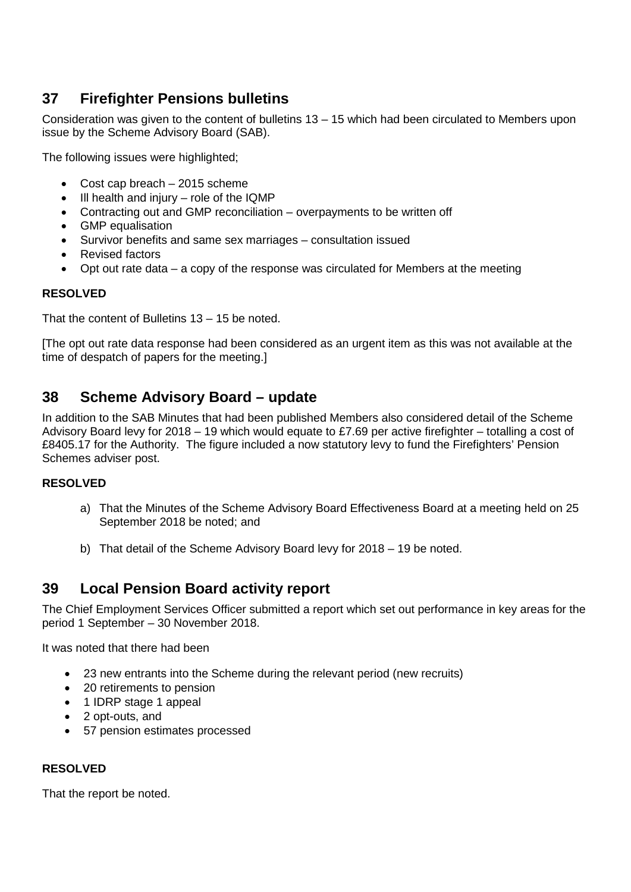# **37 Firefighter Pensions bulletins**

Consideration was given to the content of bulletins 13 – 15 which had been circulated to Members upon issue by the Scheme Advisory Board (SAB).

The following issues were highlighted;

- Cost cap breach 2015 scheme
- Ill health and injury role of the IQMP
- Contracting out and GMP reconciliation overpayments to be written off
- GMP equalisation
- Survivor benefits and same sex marriages consultation issued
- Revised factors
- Opt out rate data a copy of the response was circulated for Members at the meeting

#### **RESOLVED**

That the content of Bulletins 13 – 15 be noted.

[The opt out rate data response had been considered as an urgent item as this was not available at the time of despatch of papers for the meeting.]

## **38 Scheme Advisory Board – update**

In addition to the SAB Minutes that had been published Members also considered detail of the Scheme Advisory Board levy for 2018 – 19 which would equate to £7.69 per active firefighter – totalling a cost of £8405.17 for the Authority. The figure included a now statutory levy to fund the Firefighters' Pension Schemes adviser post.

#### **RESOLVED**

- a) That the Minutes of the Scheme Advisory Board Effectiveness Board at a meeting held on 25 September 2018 be noted; and
- b) That detail of the Scheme Advisory Board levy for 2018 19 be noted.

## **39 Local Pension Board activity report**

The Chief Employment Services Officer submitted a report which set out performance in key areas for the period 1 September – 30 November 2018.

It was noted that there had been

- 23 new entrants into the Scheme during the relevant period (new recruits)
- 20 retirements to pension
- 1 IDRP stage 1 appeal
- 2 opt-outs, and
- 57 pension estimates processed

#### **RESOLVED**

That the report be noted.